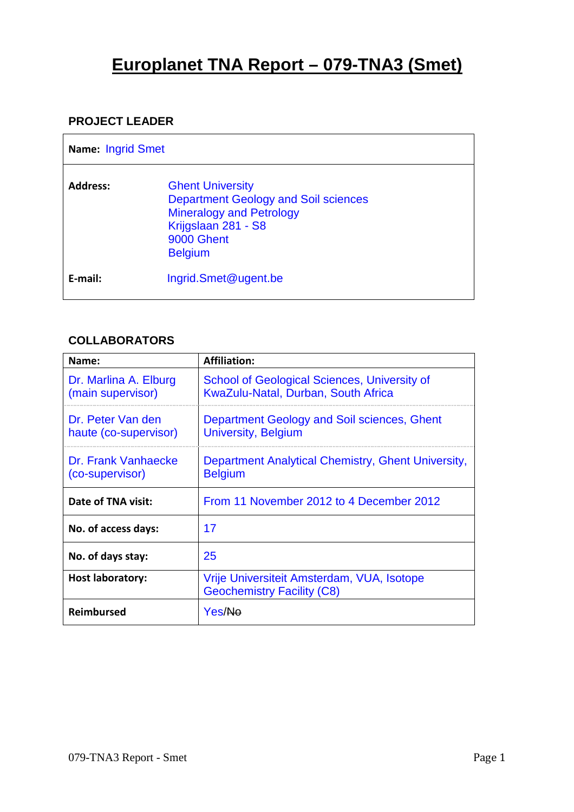# **Europlanet TNA Report – 079-TNA3 (Smet)**

### **PROJECT LEADER**

| Name: Ingrid Smet |                                                                                                                                                                  |
|-------------------|------------------------------------------------------------------------------------------------------------------------------------------------------------------|
| <b>Address:</b>   | <b>Ghent University</b><br><b>Department Geology and Soil sciences</b><br><b>Mineralogy and Petrology</b><br>Krijgslaan 281 - S8<br>9000 Ghent<br><b>Belgium</b> |
| E-mail:           | Ingrid.Smet@ugent.be                                                                                                                                             |

## **COLLABORATORS**

| Name:                                      | <b>Affiliation:</b>                                                                        |  |  |  |  |
|--------------------------------------------|--------------------------------------------------------------------------------------------|--|--|--|--|
| Dr. Marlina A. Elburg<br>(main supervisor) | <b>School of Geological Sciences, University of</b><br>KwaZulu-Natal, Durban, South Africa |  |  |  |  |
| Dr. Peter Van den<br>haute (co-supervisor) | Department Geology and Soil sciences, Ghent<br><b>University, Belgium</b>                  |  |  |  |  |
| Dr. Frank Vanhaecke<br>(co-supervisor)     | Department Analytical Chemistry, Ghent University,<br><b>Belgium</b>                       |  |  |  |  |
| Date of TNA visit:                         | From 11 November 2012 to 4 December 2012                                                   |  |  |  |  |
| No. of access days:                        | 17                                                                                         |  |  |  |  |
| No. of days stay:                          | 25                                                                                         |  |  |  |  |
| <b>Host laboratory:</b>                    | Vrije Universiteit Amsterdam, VUA, Isotope<br><b>Geochemistry Facility (C8)</b>            |  |  |  |  |
| <b>Reimbursed</b>                          | Yes/Ne                                                                                     |  |  |  |  |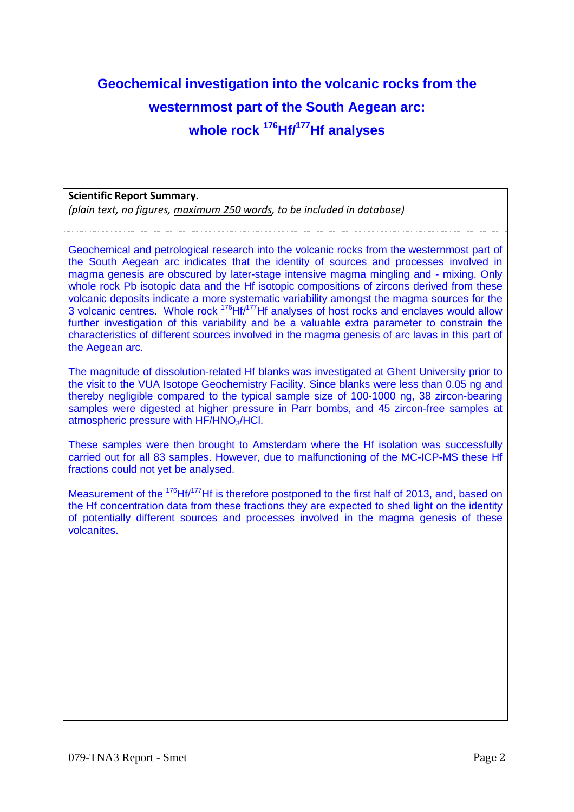# **Geochemical investigation into the volcanic rocks from the westernmost part of the South Aegean arc: whole rock <sup>176</sup>Hf/<sup>177</sup>Hf analyses**

#### **Scientific Report Summary.**

*(plain text, no figures, maximum 250 words, to be included in database)* 

Geochemical and petrological research into the volcanic rocks from the westernmost part of the South Aegean arc indicates that the identity of sources and processes involved in magma genesis are obscured by later-stage intensive magma mingling and - mixing. Only whole rock Pb isotopic data and the Hf isotopic compositions of zircons derived from these volcanic deposits indicate a more systematic variability amongst the magma sources for the 3 volcanic centres. Whole rock <sup>176</sup>Hf/<sup>177</sup>Hf analyses of host rocks and enclaves would allow further investigation of this variability and be a valuable extra parameter to constrain the characteristics of different sources involved in the magma genesis of arc lavas in this part of the Aegean arc.

The magnitude of dissolution-related Hf blanks was investigated at Ghent University prior to the visit to the VUA Isotope Geochemistry Facility. Since blanks were less than 0.05 ng and thereby negligible compared to the typical sample size of 100-1000 ng, 38 zircon-bearing samples were digested at higher pressure in Parr bombs, and 45 zircon-free samples at atmospheric pressure with HF/HNO<sub>3</sub>/HCl.

These samples were then brought to Amsterdam where the Hf isolation was successfully carried out for all 83 samples. However, due to malfunctioning of the MC-ICP-MS these Hf fractions could not yet be analysed.

Measurement of the <sup>176</sup>Hf/<sup>177</sup>Hf is therefore postponed to the first half of 2013, and, based on the Hf concentration data from these fractions they are expected to shed light on the identity of potentially different sources and processes involved in the magma genesis of these volcanites.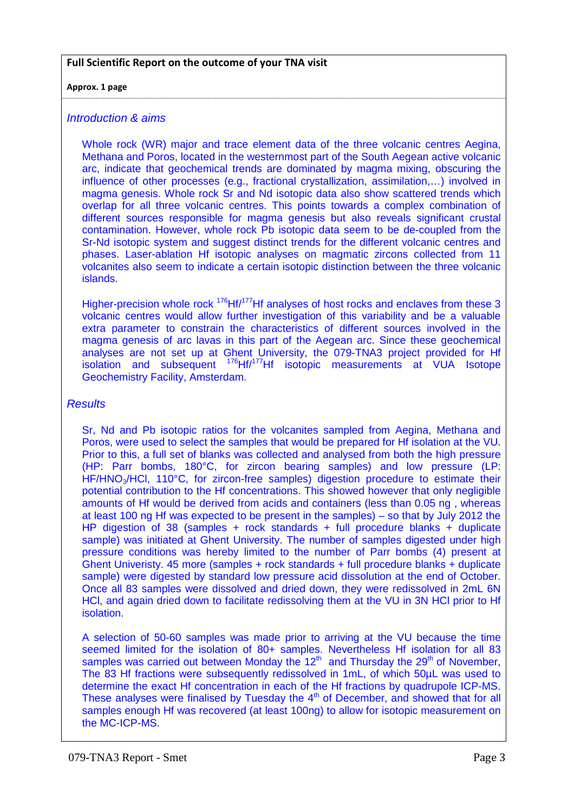#### **Full Scientific Report on the outcome of your TNA visit**

#### **Approx. 1 page**

#### Introduction & aims

Whole rock (WR) major and trace element data of the three volcanic centres Aegina, Methana and Poros, located in the westernmost part of the South Aegean active volcanic arc, indicate that geochemical trends are dominated by magma mixing, obscuring the influence of other processes (e.g., fractional crystallization, assimilation,…) involved in magma genesis. Whole rock Sr and Nd isotopic data also show scattered trends which overlap for all three volcanic centres. This points towards a complex combination of different sources responsible for magma genesis but also reveals significant crustal contamination. However, whole rock Pb isotopic data seem to be de-coupled from the Sr-Nd isotopic system and suggest distinct trends for the different volcanic centres and phases. Laser-ablation Hf isotopic analyses on magmatic zircons collected from 11 volcanites also seem to indicate a certain isotopic distinction between the three volcanic islands.

Higher-precision whole rock  $176$  Hf $/177$  Hf analyses of host rocks and enclaves from these 3 volcanic centres would allow further investigation of this variability and be a valuable extra parameter to constrain the characteristics of different sources involved in the magma genesis of arc lavas in this part of the Aegean arc. Since these geochemical analyses are not set up at Ghent University, the 079-TNA3 project provided for Hf isolation and subsequent <sup>176</sup>Hf/<sup>177</sup>Hf isotopic measurements at VUA Isotope Geochemistry Facility, Amsterdam.

#### **Results**

Sr, Nd and Pb isotopic ratios for the volcanites sampled from Aegina, Methana and Poros, were used to select the samples that would be prepared for Hf isolation at the VU. Prior to this, a full set of blanks was collected and analysed from both the high pressure (HP: Parr bombs, 180°C, for zircon bearing samples) and low pressure (LP: HF/HNO<sub>3</sub>/HCl, 110°C, for zircon-free samples) digestion procedure to estimate their potential contribution to the Hf concentrations. This showed however that only negligible amounts of Hf would be derived from acids and containers (less than 0.05 ng , whereas at least 100 ng Hf was expected to be present in the samples) – so that by July 2012 the HP digestion of 38 (samples + rock standards + full procedure blanks + duplicate sample) was initiated at Ghent University. The number of samples digested under high pressure conditions was hereby limited to the number of Parr bombs (4) present at Ghent Univeristy. 45 more (samples + rock standards + full procedure blanks + duplicate sample) were digested by standard low pressure acid dissolution at the end of October. Once all 83 samples were dissolved and dried down, they were redissolved in 2mL 6N HCl, and again dried down to facilitate redissolving them at the VU in 3N HCl prior to Hf isolation.

A selection of 50-60 samples was made prior to arriving at the VU because the time seemed limited for the isolation of 80+ samples. Nevertheless Hf isolation for all 83 samples was carried out between Monday the  $12<sup>th</sup>$  and Thursday the  $29<sup>th</sup>$  of November, The 83 Hf fractions were subsequently redissolved in 1mL, of which 50µL was used to determine the exact Hf concentration in each of the Hf fractions by quadrupole ICP-MS. These analyses were finalised by Tuesday the  $4<sup>th</sup>$  of December, and showed that for all samples enough Hf was recovered (at least 100ng) to allow for isotopic measurement on the MC-ICP-MS.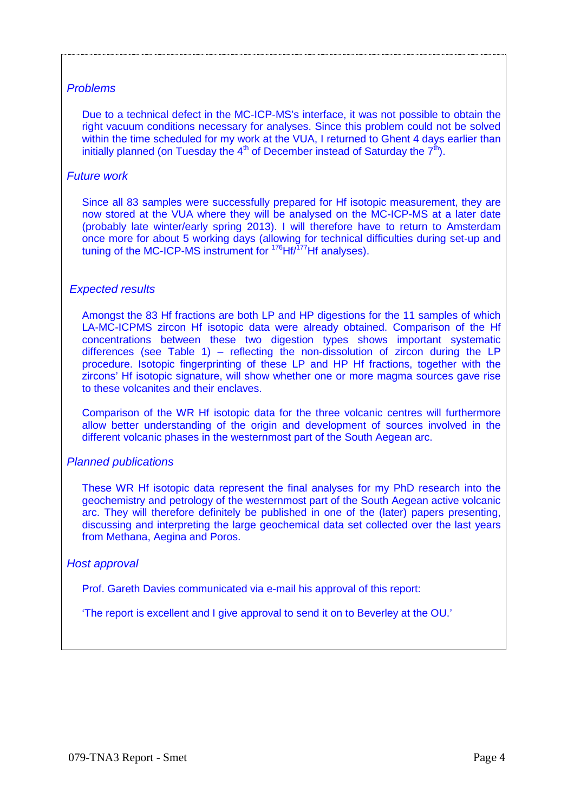#### Problems

Due to a technical defect in the MC-ICP-MS's interface, it was not possible to obtain the right vacuum conditions necessary for analyses. Since this problem could not be solved within the time scheduled for my work at the VUA, I returned to Ghent 4 days earlier than initially planned (on Tuesday the  $4<sup>th</sup>$  of December instead of Saturday the  $7<sup>th</sup>$ ).

#### Future work

Since all 83 samples were successfully prepared for Hf isotopic measurement, they are now stored at the VUA where they will be analysed on the MC-ICP-MS at a later date (probably late winter/early spring 2013). I will therefore have to return to Amsterdam once more for about 5 working days (allowing for technical difficulties during set-up and tuning of the MC-ICP-MS instrument for <sup>176</sup>Hf<sup>777</sup>Hf analyses).

#### Expected results

Amongst the 83 Hf fractions are both LP and HP digestions for the 11 samples of which LA-MC-ICPMS zircon Hf isotopic data were already obtained. Comparison of the Hf concentrations between these two digestion types shows important systematic differences (see Table 1) – reflecting the non-dissolution of zircon during the LP procedure. Isotopic fingerprinting of these LP and HP Hf fractions, together with the zircons' Hf isotopic signature, will show whether one or more magma sources gave rise to these volcanites and their enclaves.

Comparison of the WR Hf isotopic data for the three volcanic centres will furthermore allow better understanding of the origin and development of sources involved in the different volcanic phases in the westernmost part of the South Aegean arc.

#### Planned publications

These WR Hf isotopic data represent the final analyses for my PhD research into the geochemistry and petrology of the westernmost part of the South Aegean active volcanic arc. They will therefore definitely be published in one of the (later) papers presenting, discussing and interpreting the large geochemical data set collected over the last years from Methana, Aegina and Poros.

#### Host approval

Prof. Gareth Davies communicated via e-mail his approval of this report:

'The report is excellent and I give approval to send it on to Beverley at the OU.'